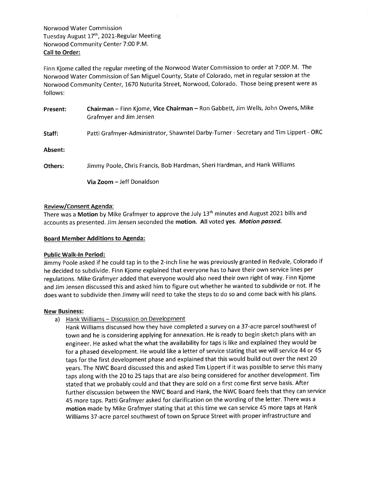Norwood Water Commission Tuesday August 17<sup>th</sup>, 2021-Regular Meeting Norwood Community Center 7:00 P.M. Call to Order:

Finn Kjome called the regular meeting of the Norwood Water Commission to order at 7:00P.M. The Norwood Water Commission of San Miguel County, State of Colorado, met in regular session at the Norwood Community Center, 1670 Naturita Street, Norwood, Colorado. Those being present were as follows:

| Present: | Chairman - Finn Kjome, Vice Chairman - Ron Gabbett, Jim Wells, John Owens, Mike<br>Grafmyer and Jim Jensen |
|----------|------------------------------------------------------------------------------------------------------------|
| Staff:   | Patti Grafmyer-Administrator, Shawntel Darby-Turner - Secretary and Tim Lippert - ORC                      |
| Absent:  |                                                                                                            |
| Others:  | Jimmy Poole, Chris Francis, Bob Hardman, Sheri Hardman, and Hank Williams                                  |
|          | <b>Via Zoom</b> – Jeff Donaldson                                                                           |

### Review/Consent Agenda :

There was a Motion by Mike Grafmyer to approve the July 13<sup>th</sup> minutes and August 2021 bills and accounts as presented. Jim Jensen seconded the motion. All voted yes. Motion passed.

#### **Board Member Additions to Agenda:**

#### Public Walk-ln Period:

Jimmy Poole asked if he could tap in to the 2-inch line he was previously granted in Redvale, Colorado if he decided to subdivide. Finn Kjome explained that everyone has to have their own service lines per regulations. Mike Grafmyer added that everyone would also need their own right of way. Finn Kjome and Jim Jensen discussed this and asked him to figure out whether he wanted to subdivide or not. If he does want to subdivide then Jimmy will need to take the steps to do so and come back with his plans.

#### New Business:

a) Hank Williams - Discussion on Development

Hank Williams discussed how they have completed a survey on a 37-acre parcel southwest of town and he is considering applying for annexation. He is ready to begin sketch plans with an engineer. He asked what the what the availability for taps is like and explained they would be for a phased development. He would like a letter of service stating that we will service 44 or 45 taps for the first development phase and explained that this would build out over the next 20 years. The NWC Board discussed this and asked Tim Lippert if it was possible to serve this many taps along with the 20 to 25 taps that are also being considered for another development. Tim stated that we probably could and that they are sold on a first come first serve basis. After further discussion between the NWC Board and Hank, the NWC Board feels that they can service 45 more taps. Patti Grafmyer asked for clarification on the wording of the letter. There was <sup>a</sup> motion made by Mike Grafmyer stating that at this time we can service 45 more taps at Hank Williams 37-acre parcel southwest of town on Spruce Street with proper infrastructure and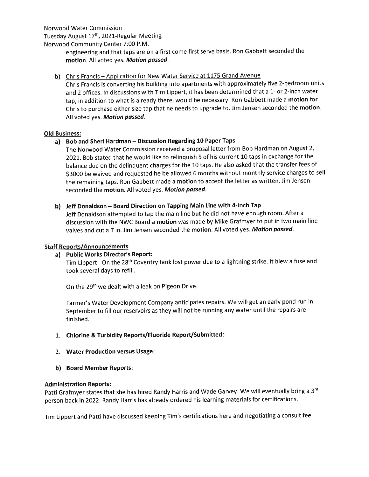Norwood Water Commission

Tuesday August 17<sup>th</sup>, 2021-Regular Meeting

Norwood Community Center 7:00 P.M.

engineering and that taps are on a first come first serve basis. Ron Gabbett seconded the motion. All voted yes. Motion passed.

# b) Chris Francis – Application for New Water Service at 1175 Grand Avenue

Chris Francis is converting his building into apartments with approximately five 2-bedroom units and 2 offices. In discussions with Tim Lippert, it has been determined that a 1- or 2-inch water tap, in addition to what is already there, would be necessary. Ron Gabbett made a motion for Chris to purchase either size tap that he needs to upgrade to. Jim Jensen seconded the motion. All voted yes. Motion passed.

# Old Business:

# a) Bob and Sheri Hardman - Discussion Regarding 10 Paper Taps

The Norwood Water Commission received a proposal letter from Bob Hardman on August 2, 2021,. Bob stated that he would like to relinquish 5 of his current 10 taps in exchange for the balance due on the delinquent charges for the 10 taps. He also asked that the transfer fees of \$3000 be waived and requested he be allowed 6 months without monthly service charges to sell the remaining taps. Ron Gabbett made a motion to accept the letter as written. Jim Jensen seconded the motion. All voted yes. Motion passed.

# b) Jeff Donaldson - Board Direction on Tapping Main Line with 4-inch Tap

Jeff Donaldson attempted to tap the main line but he did not have enough room. After <sup>a</sup> discussion with the NWC Board a motion was made by Mike Grafmyer to put in two main line valves and cut a T in. Jim Jensen seconded the motion. All voted yes. Motion passed.

# Staff Reports/Announcements

# a) Public Works Director's Report:

Tim Lippert - On the 28<sup>th</sup> Coventry tank lost power due to a lightning strike. It blew a fuse and took several days to refill.

On the 29<sup>th</sup> we dealt with a leak on Pigeon Drive.

Farmer's Water Development Company anticipates repairs. We willget an early pond run in September to fill our reservoirs as they will not be running any water until the repairs are finished.

- 1. Chlorine & Turbidity Reports/Fluoride Report/Submitted:
- 2. Water Production versus Usage:
- b) Board Member Reports:

# Administration Reports:

Patti Grafmyer states that she has hired Randy Harris and Wade Garvey. We will eventually bring a 3<sup>rd</sup> person back in 2022. Randy Harris has already ordered his learning materials for certifications.

Tim Lippert and Patti have discussed keeping Tim's certifications here and negotiating a consult fee.